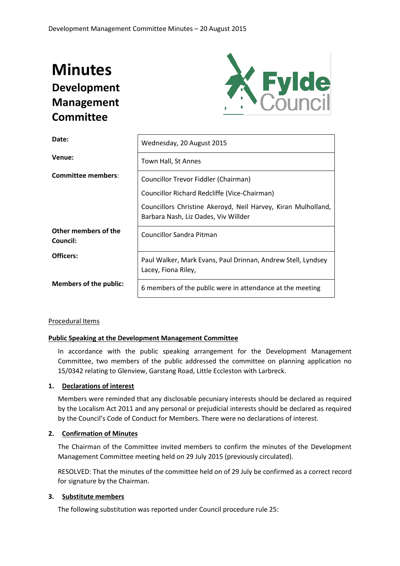# **Minutes Development Management Committee**



| Date:                            | Wednesday, 20 August 2015                                                                             |  |  |
|----------------------------------|-------------------------------------------------------------------------------------------------------|--|--|
| Venue:                           | Town Hall, St Annes                                                                                   |  |  |
| <b>Committee members:</b>        | Councillor Trevor Fiddler (Chairman)                                                                  |  |  |
|                                  | Councillor Richard Redcliffe (Vice-Chairman)                                                          |  |  |
|                                  | Councillors Christine Akeroyd, Neil Harvey, Kiran Mulholland,<br>Barbara Nash, Liz Oades, Viv Willder |  |  |
| Other members of the<br>Council: | <b>Councillor Sandra Pitman</b>                                                                       |  |  |
| Officers:                        | Paul Walker, Mark Evans, Paul Drinnan, Andrew Stell, Lyndsey<br>Lacey, Fiona Riley,                   |  |  |
| <b>Members of the public:</b>    | 6 members of the public were in attendance at the meeting                                             |  |  |

## Procedural Items

### **Public Speaking at the Development Management Committee**

In accordance with the public speaking arrangement for the Development Management Committee, two members of the public addressed the committee on planning application no 15/0342 relating to Glenview, Garstang Road, Little Eccleston with Larbreck.

#### **1. Declarations of interest**

Members were reminded that any disclosable pecuniary interests should be declared as required by the Localism Act 2011 and any personal or prejudicial interests should be declared as required by the Council's Code of Conduct for Members. There were no declarations of interest.

## **2. Confirmation of Minutes**

The Chairman of the Committee invited members to confirm the minutes of the Development Management Committee meeting held on 29 July 2015 (previously circulated).

RESOLVED: That the minutes of the committee held on of 29 July be confirmed as a correct record for signature by the Chairman.

## **3. Substitute members**

The following substitution was reported under Council procedure rule 25: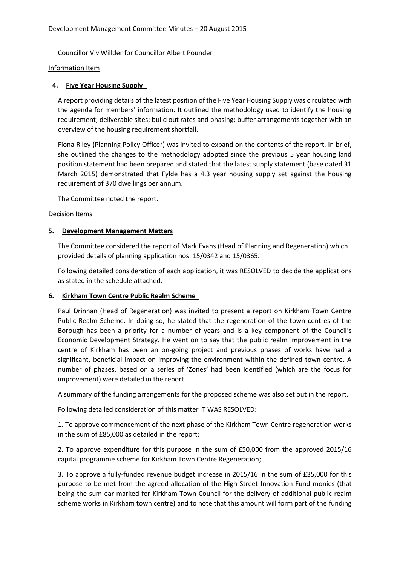Councillor Viv Willder for Councillor Albert Pounder

Information Item

## **4. Five Year Housing Supply**

A report providing details of the latest position of the Five Year Housing Supply was circulated with the agenda for members' information. It outlined the methodology used to identify the housing requirement; deliverable sites; build out rates and phasing; buffer arrangements together with an overview of the housing requirement shortfall.

Fiona Riley (Planning Policy Officer) was invited to expand on the contents of the report. In brief, she outlined the changes to the methodology adopted since the previous 5 year housing land position statement had been prepared and stated that the latest supply statement (base dated 31 March 2015) demonstrated that Fylde has a 4.3 year housing supply set against the housing requirement of 370 dwellings per annum.

The Committee noted the report.

## Decision Items

## **5. Development Management Matters**

The Committee considered the report of Mark Evans (Head of Planning and Regeneration) which provided details of planning application nos: 15/0342 and 15/0365.

Following detailed consideration of each application, it was RESOLVED to decide the applications as stated in the schedule attached.

## **6. Kirkham Town Centre Public Realm Scheme**

Paul Drinnan (Head of Regeneration) was invited to present a report on Kirkham Town Centre Public Realm Scheme. In doing so, he stated that the regeneration of the town centres of the Borough has been a priority for a number of years and is a key component of the Council's Economic Development Strategy. He went on to say that the public realm improvement in the centre of Kirkham has been an on-going project and previous phases of works have had a significant, beneficial impact on improving the environment within the defined town centre. A number of phases, based on a series of 'Zones' had been identified (which are the focus for improvement) were detailed in the report.

A summary of the funding arrangements for the proposed scheme was also set out in the report.

Following detailed consideration of this matter IT WAS RESOLVED:

1. To approve commencement of the next phase of the Kirkham Town Centre regeneration works in the sum of £85,000 as detailed in the report;

2. To approve expenditure for this purpose in the sum of £50,000 from the approved 2015/16 capital programme scheme for Kirkham Town Centre Regeneration;

3. To approve a fully-funded revenue budget increase in 2015/16 in the sum of £35,000 for this purpose to be met from the agreed allocation of the High Street Innovation Fund monies (that being the sum ear-marked for Kirkham Town Council for the delivery of additional public realm scheme works in Kirkham town centre) and to note that this amount will form part of the funding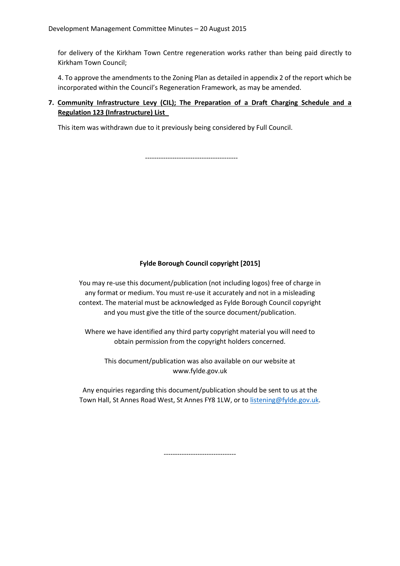for delivery of the Kirkham Town Centre regeneration works rather than being paid directly to Kirkham Town Council;

4. To approve the amendments to the Zoning Plan as detailed in appendix 2 of the report which be incorporated within the Council's Regeneration Framework, as may be amended.

## **7. Community Infrastructure Levy (CIL); The Preparation of a Draft Charging Schedule and a Regulation 123 (Infrastructure) List**

This item was withdrawn due to it previously being considered by Full Council.

-----------------------------------------

## **Fylde Borough Council copyright [2015]**

You may re-use this document/publication (not including logos) free of charge in any format or medium. You must re-use it accurately and not in a misleading context. The material must be acknowledged as Fylde Borough Council copyright and you must give the title of the source document/publication.

Where we have identified any third party copyright material you will need to obtain permission from the copyright holders concerned.

This document/publication was also available on our website at www.fylde.gov.uk

Any enquiries regarding this document/publication should be sent to us at the Town Hall, St Annes Road West, St Annes FY8 1LW, or to [listening@fylde.gov.uk.](mailto:listening@fylde.gov.uk)

--------------------------------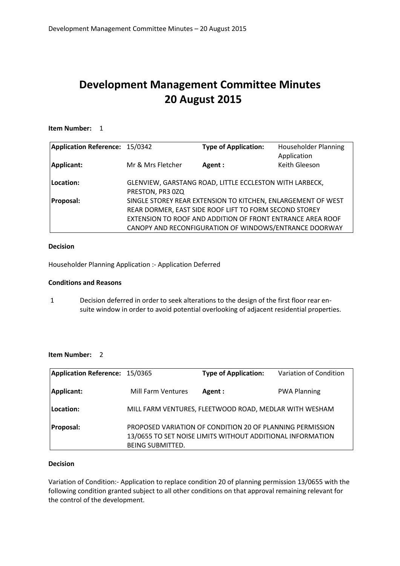## **Development Management Committee Minutes 20 August 2015**

## **Item Number:** 1

| Application Reference: 15/0342 |                   | <b>Type of Application:</b>                                                                                                                                                          | <b>Householder Planning</b><br>Application |
|--------------------------------|-------------------|--------------------------------------------------------------------------------------------------------------------------------------------------------------------------------------|--------------------------------------------|
| Applicant:                     | Mr & Mrs Fletcher | Agent :                                                                                                                                                                              | Keith Gleeson                              |
| Location:                      | PRESTON, PR3 0ZQ  | GLENVIEW, GARSTANG ROAD, LITTLE ECCLESTON WITH LARBECK,                                                                                                                              |                                            |
| <b>Proposal:</b>               |                   | SINGLE STOREY REAR EXTENSION TO KITCHEN, ENLARGEMENT OF WEST<br>REAR DORMER, EAST SIDE ROOF LIFT TO FORM SECOND STOREY<br>EXTENSION TO ROOF AND ADDITION OF FRONT ENTRANCE AREA ROOF |                                            |
|                                |                   | CANOPY AND RECONFIGURATION OF WINDOWS/ENTRANCE DOORWAY                                                                                                                               |                                            |

## **Decision**

Householder Planning Application :- Application Deferred

## **Conditions and Reasons**

1 Decision deferred in order to seek alterations to the design of the first floor rear ensuite window in order to avoid potential overlooking of adjacent residential properties.

## **Item Number:** 2

| Application Reference: 15/0365 |                         | <b>Type of Application:</b>                                                                                             | Variation of Condition |
|--------------------------------|-------------------------|-------------------------------------------------------------------------------------------------------------------------|------------------------|
| Applicant:                     | Mill Farm Ventures      | Agent :                                                                                                                 | <b>PWA Planning</b>    |
| Location:                      |                         | MILL FARM VENTURES, FLEETWOOD ROAD, MEDLAR WITH WESHAM                                                                  |                        |
| <b>Proposal:</b>               | <b>BEING SUBMITTED.</b> | PROPOSED VARIATION OF CONDITION 20 OF PLANNING PERMISSION<br>13/0655 TO SET NOISE LIMITS WITHOUT ADDITIONAL INFORMATION |                        |

#### **Decision**

Variation of Condition:- Application to replace condition 20 of planning permission 13/0655 with the following condition granted subject to all other conditions on that approval remaining relevant for the control of the development.